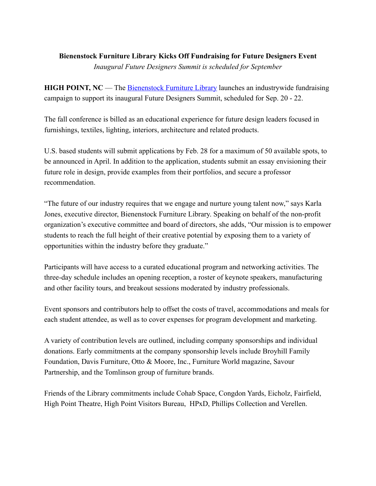## **Bienenstock Furniture Library Kicks Off Fundraising for Future Designers Event** *Inaugural Future Designers Summit is scheduled for September*

**HIGH POINT, NC** — The **Bienenstock Furniture Library** launches an industrywide fundraising campaign to support its inaugural Future Designers Summit, scheduled for Sep. 20 - 22.

The fall conference is billed as an educational experience for future design leaders focused in furnishings, textiles, lighting, interiors, architecture and related products.

U.S. based students will submit applications by Feb. 28 for a maximum of 50 available spots, to be announced in April. In addition to the application, students submit an essay envisioning their future role in design, provide examples from their portfolios, and secure a professor recommendation.

"The future of our industry requires that we engage and nurture young talent now," says Karla Jones, executive director, Bienenstock Furniture Library. Speaking on behalf of the non-profit organization's executive committee and board of directors, she adds, "Our mission is to empower students to reach the full height of their creative potential by exposing them to a variety of opportunities within the industry before they graduate."

Participants will have access to a curated educational program and networking activities. The three-day schedule includes an opening reception, a roster of keynote speakers, manufacturing and other facility tours, and breakout sessions moderated by industry professionals.

Event sponsors and contributors help to offset the costs of travel, accommodations and meals for each student attendee, as well as to cover expenses for program development and marketing.

A variety of contribution levels are outlined, including company sponsorships and individual donations. Early commitments at the company sponsorship levels include Broyhill Family Foundation, Davis Furniture, Otto & Moore, Inc., Furniture World magazine, Savour Partnership, and the Tomlinson group of furniture brands.

Friends of the Library commitments include Cohab Space, Congdon Yards, Eicholz, Fairfield, High Point Theatre, High Point Visitors Bureau, HPxD, Phillips Collection and Verellen.